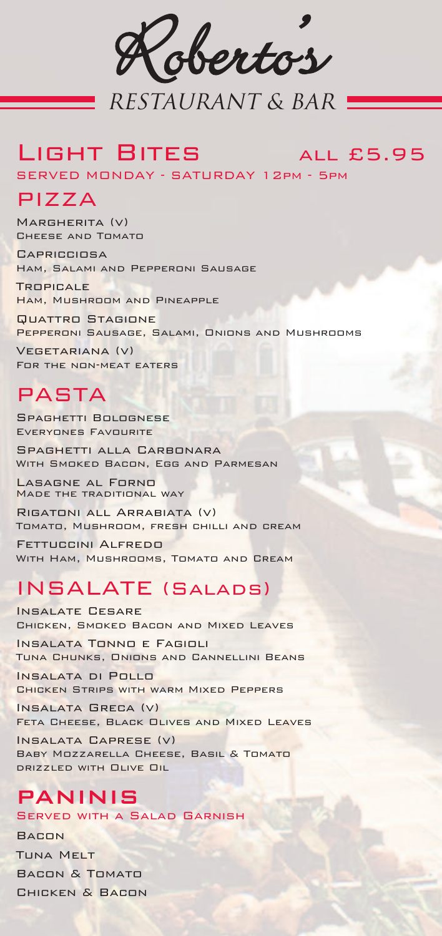Robertos .<br>B

# RESTAURANT & BAR

# LIGHT BITES ALL £5.95

SERVED MONDAY - SATURDAY 12pm - 5pm

# PIZZA

Margherita (v) Cheese and Tomato

**CAPRICCIOSA** Ham, Salami and Pepperoni Sausage

**TROPICALE** Ham, Mushroom and Pineapple

Quattro Stagione Pepperoni Sausage, Salami, Onions and Mushrooms

Vegetariana (v) For the non-meat eaters

# PASTA

Spaghetti Bolognese Everyones Favourite

Spaghetti alla Carbonara With Smoked Bacon, Egg and Parmesan

Lasagne al Forno Made the traditional way

Rigatoni all Arrabiata (v) Tomato, Mushroom, fresh chilli and cream

Fettuccini Alfredo With Ham, Mushrooms, Tomato and Cream

# INSALATE (Salads)

Insalate Cesare Chicken, Smoked Bacon and Mixed Leaves

Insalata Tonno e Fagioli Tuna Chunks, Onions and Cannellini Beans

Insalata di Pollo Chicken Strips with warm Mixed Peppers

Insalata Greca (v) Feta Cheese, Black Olives and Mixed Leaves

Insalata Caprese (v) Baby Mozzarella Cheese, Basil & Tomato drizzled with Olive Oil

# Paninis Served with a Salad Garnish

**BACON** Tuna Melt Bacon & Tomato Chicken & Bacon